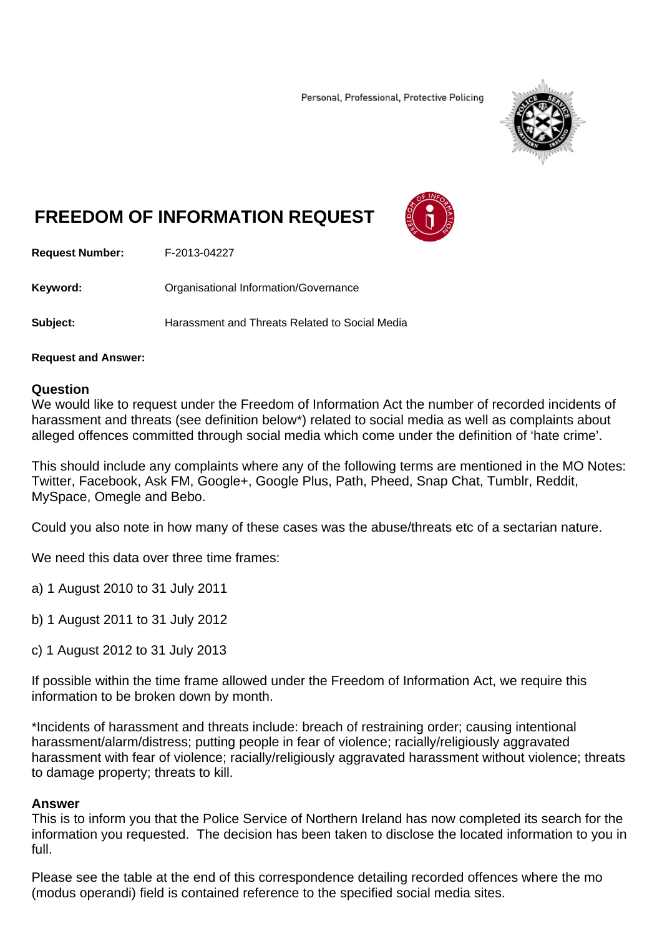Personal, Professional, Protective Policing



## **FREEDOM OF INFORMATION REQUEST**



**Request Number:** F-2013-04227

**Keyword: Cranisational Information/Governance** 

**Subject:** Harassment and Threats Related to Social Media

**Request and Answer:** 

## **Question**

We would like to request under the Freedom of Information Act the number of recorded incidents of harassment and threats (see definition below\*) related to social media as well as complaints about alleged offences committed through social media which come under the definition of 'hate crime'.

This should include any complaints where any of the following terms are mentioned in the MO Notes: Twitter, Facebook, Ask FM, Google+, Google Plus, Path, Pheed, Snap Chat, Tumblr, Reddit, MySpace, Omegle and Bebo.

Could you also note in how many of these cases was the abuse/threats etc of a sectarian nature.

We need this data over three time frames:

a) 1 August 2010 to 31 July 2011

b) 1 August 2011 to 31 July 2012

c) 1 August 2012 to 31 July 2013

If possible within the time frame allowed under the Freedom of Information Act, we require this information to be broken down by month.

\*Incidents of harassment and threats include: breach of restraining order; causing intentional harassment/alarm/distress; putting people in fear of violence; racially/religiously aggravated harassment with fear of violence; racially/religiously aggravated harassment without violence; threats to damage property; threats to kill.

## **Answer**

This is to inform you that the Police Service of Northern Ireland has now completed its search for the information you requested. The decision has been taken to disclose the located information to you in full.

Please see the table at the end of this correspondence detailing recorded offences where the mo (modus operandi) field is contained reference to the specified social media sites.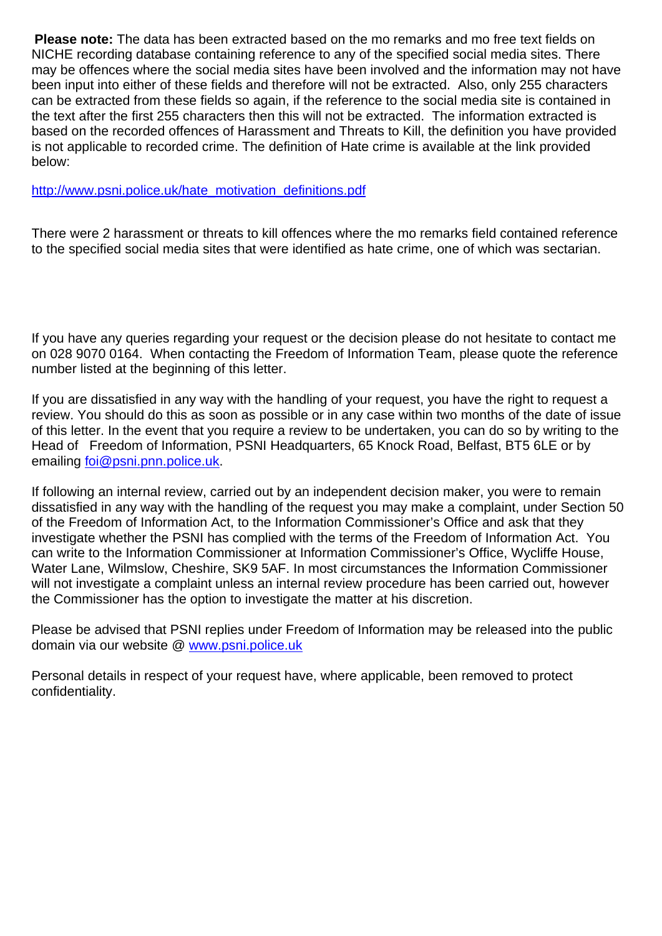**Please note:** The data has been extracted based on the mo remarks and mo free text fields on NICHE recording database containing reference to any of the specified social media sites. There may be offences where the social media sites have been involved and the information may not have been input into either of these fields and therefore will not be extracted. Also, only 255 characters can be extracted from these fields so again, if the reference to the social media site is contained in the text after the first 255 characters then this will not be extracted. The information extracted is based on the recorded offences of Harassment and Threats to Kill, the definition you have provided is not applicable to recorded crime. The definition of Hate crime is available at the link provided below:

http://www.psni.police.uk/hate\_motivation\_definitions.pdf

There were 2 harassment or threats to kill offences where the mo remarks field contained reference to the specified social media sites that were identified as hate crime, one of which was sectarian.

If you have any queries regarding your request or the decision please do not hesitate to contact me on 028 9070 0164. When contacting the Freedom of Information Team, please quote the reference number listed at the beginning of this letter.

If you are dissatisfied in any way with the handling of your request, you have the right to request a review. You should do this as soon as possible or in any case within two months of the date of issue of this letter. In the event that you require a review to be undertaken, you can do so by writing to the Head of Freedom of Information, PSNI Headquarters, 65 Knock Road, Belfast, BT5 6LE or by emailing foi@psni.pnn.police.uk.

If following an internal review, carried out by an independent decision maker, you were to remain dissatisfied in any way with the handling of the request you may make a complaint, under Section 50 of the Freedom of Information Act, to the Information Commissioner's Office and ask that they investigate whether the PSNI has complied with the terms of the Freedom of Information Act. You can write to the Information Commissioner at Information Commissioner's Office, Wycliffe House, Water Lane, Wilmslow, Cheshire, SK9 5AF. In most circumstances the Information Commissioner will not investigate a complaint unless an internal review procedure has been carried out, however the Commissioner has the option to investigate the matter at his discretion.

Please be advised that PSNI replies under Freedom of Information may be released into the public domain via our website @ www.psni.police.uk

Personal details in respect of your request have, where applicable, been removed to protect confidentiality.